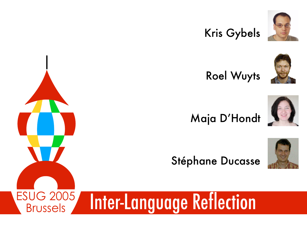#### Kris Gybels



Roel Wuyts



#### Maja D'Hondt





#### Stéphane Ducasse



#### ESUG 2005 Inter-Language Reflection

Brussels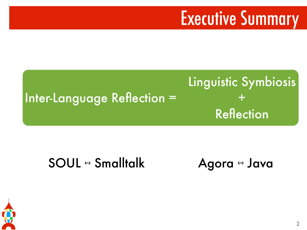### Executive Summary

#### Inter-Language Reflection = Linguistic Symbiosis  $+$ **Reflection**

#### SOUL « Smalltalk Agora « Java

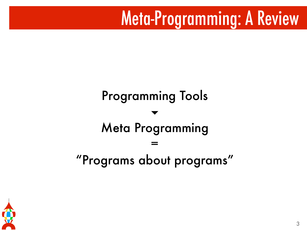### Meta-Programming: A Review

#### Programming Tools ▾ Meta Programming = "Programs about programs"

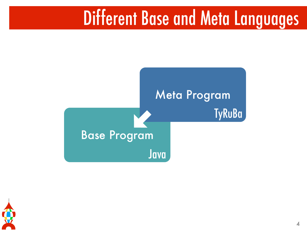### Different Base and Meta Languages



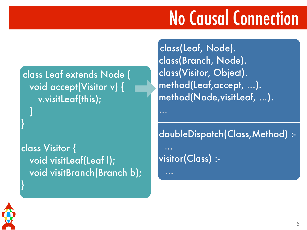# No Causal Connection

class Leaf extends Node { void accept(Visitor v) { v.visitLeaf(this); }

class Visitor { void visitLeaf(Leaf l); void visitBranch(Branch b); class(Leaf, Node). class(Branch, Node). class(Visitor, Object). method(Leaf,accept, ...). method(Node,visitLeaf, ...).

doubleDispatch(Class,Method) : visitor(Class) :-



}

}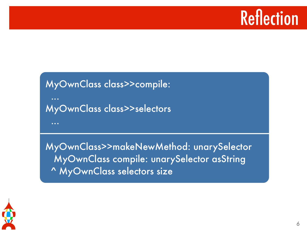### **Reflection**

#### MyOwnClass class>>compile: ... MyOwnClass class>>selectors ...

MyOwnClass>>makeNewMethod: unarySelector MyOwnClass compile: unarySelector asString ^ MyOwnClass selectors size

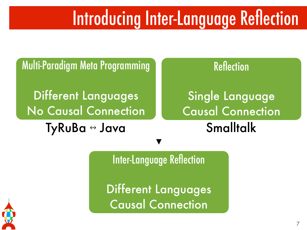### Introducing Inter-Language Reflection

Multi-Paradigm Meta Programming

Different Languages No Causal Connection

TyRuBa ↔ Java

#### **Reflection**

### Single Language Causal Connection

**Smalltalk** 

Inter-Language Reflection

Different Languages Causal Connection

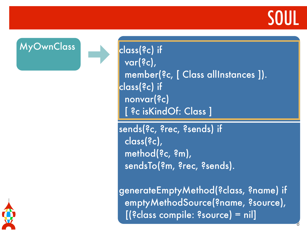### SOUL

8

MyOwnClass class(?c) if

 var(?c), member(?c, [ Class allInstances ]). class(?c) if nonvar(?c) [ ?c isKindOf: Class ]

sends(?c, ?rec, ?sends) if class(?c), method(?c, ?m), sendsTo(?m, ?rec, ?sends).

generateEmptyMethod(?class, ?name) if emptyMethodSource(?name, ?source), [(?class compile: ?source) = nil]

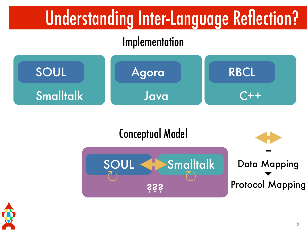# Understanding Inter-Language Reflection?

#### Implementation







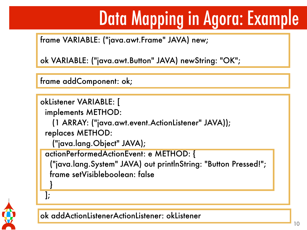# Data Mapping in Agora: Example

frame VARIABLE: ("java.awt.Frame" JAVA) new;

ok VARIABLE: ("java.awt.Button" JAVA) newString: "OK";

frame addComponent: ok;

```
okListener VARIABLE: [
```
implements METHOD:

(1 ARRAY: ("java.awt.event.ActionListener" JAVA));

replaces METHOD:

```
 ("java.lang.Object" JAVA);
```
actionPerformedActionEvent: e METHOD: {

 ("java.lang.System" JAVA) out printlnString: "Button Pressed!"; frame setVisibleboolean: false



}



ok addActionListenerActionListener: okListener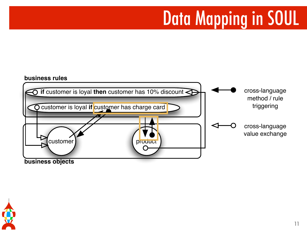## Data Mapping in SOUL

#### **business rules**



**business objects**

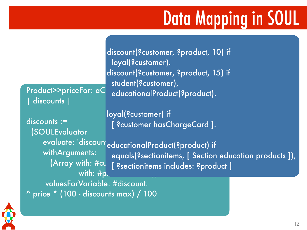# Data Mapping in SOUL

Product>>priceFor: aC | discounts |

 discounts := (SOULEvaluator withArguments: (Array with:  $\#$ cu with:  $#p$ .

discount(?customer, ?product, 10) if loyal(?customer). discount(?customer, ?product, 15) if student(?customer), educationalProduct(?product).

loyal(?customer) if [ ?customer hasChargeCard ].

evaluate: 'discount<sub>educational</sub> Product(?product) if educationalProduct(?product) if equals(?sectionitems, [ Section education products ]), [ ?sectionitems includes: ?product ]

 valuesForVariable: #discount. ^ price \* (100 - discounts max) / 100

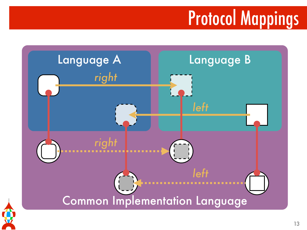# Protocol Mappings

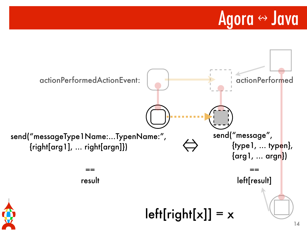### Agora « Java

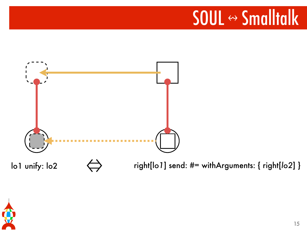# SOUL « Smalltalk



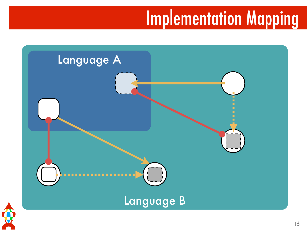### Implementation Mapping

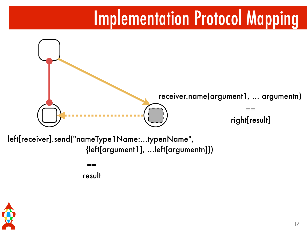### Implementation Protocol Mapping



left[receiver].send("nameType1Name:…typenName", {left[argument1], …left[argumentn]})

result

==